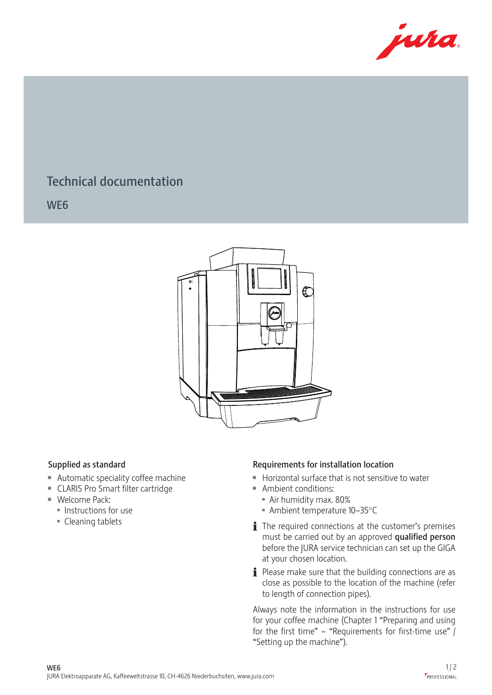

## Technical documentation

WE6

444



- $\blacksquare$  Automatic speciality coffee machine
- CLARIS Pro Smart filter cartridge
	- $\blacksquare$  Welcome Pack:
		- $\blacksquare$  Instructions for use
		- Cleaning tablets

## Supplied as standard Requirements for installation location 12 6 dequirer **s**

- Horizontal surface that is not sensitive to water
- Ambient conditions:
	- **Air humidity max. 80%**
	- $\blacksquare$  Ambient temperature 10–35°C
	- $\mathbf i$  The required connections at the customer's premises must be carried out by an approved qualified person before the JURA service technician can set up the GIGA at your chosen location.
	- $\mathbf i$  Please make sure that the building connections are as close as possible to the location of the machine (refer to length of connection pipes).

Always note the information in the instructions for use for your coffee machine (Chapter 1 "Preparing and using for the first time" – "Requirements for first-time use"  $\int$ "Setting up the machine").